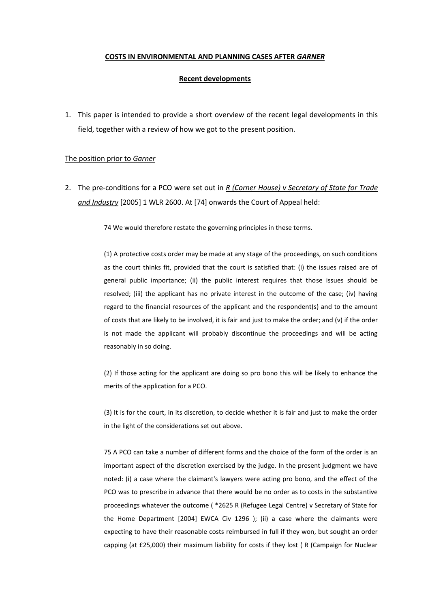## **COSTS IN ENVIRONMENTAL AND PLANNING CASES AFTER** *GARNER*

## **Recent developments**

1. This paper is intended to provide a short overview of the recent legal developments in this field, together with a review of how we got to the present position.

## The position prior to *Garner*

2. The pre-conditions for a PCO were set out in *R (Corner House) v Secretary of State for Trade and Industry* [2005] 1 WLR 2600. At [74] onwards the Court of Appeal held:

74 We would therefore restate the governing principles in these terms.

(1) A protective costs order may be made at any stage of the proceedings, on such conditions as the court thinks fit, provided that the court is satisfied that: (i) the issues raised are of general public importance; (ii) the public interest requires that those issues should be resolved; (iii) the applicant has no private interest in the outcome of the case; (iv) having regard to the financial resources of the applicant and the respondent(s) and to the amount of costs that are likely to be involved, it is fair and just to make the order; and (v) if the order is not made the applicant will probably discontinue the proceedings and will be acting reasonably in so doing.

(2) If those acting for the applicant are doing so pro bono this will be likely to enhance the merits of the application for a PCO.

(3) It is for the court, in its discretion, to decide whether it is fair and just to make the order in the light of the considerations set out above.

75 A PCO can take a number of different forms and the choice of the form of the order is an important aspect of the discretion exercised by the judge. In the present judgment we have noted: (i) a case where the claimant's lawyers were acting pro bono, and the effect of the PCO was to prescribe in advance that there would be no order as to costs in the substantive proceedings whatever the outcome ( \*2625 R (Refugee Legal Centre) v Secretary of State for the Home Department [2004] EWCA Civ 1296 ); (ii) a case where the claimants were expecting to have their reasonable costs reimbursed in full if they won, but sought an order capping (at £25,000) their maximum liability for costs if they lost ( R (Campaign for Nuclear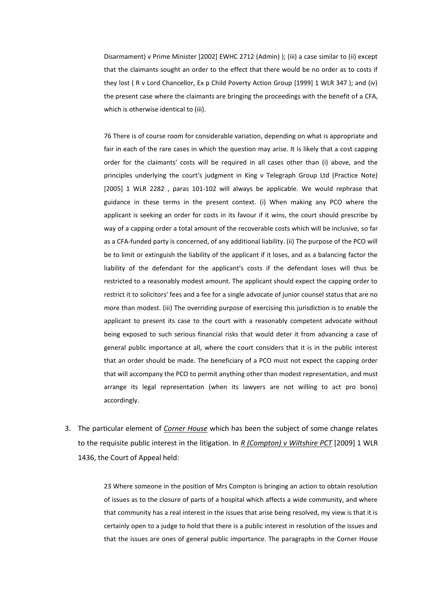Disarmament) v Prime Minister [2002] EWHC 2712 (Admin) ); (iii) a case similar to (ii) except that the claimants sought an order to the effect that there would be no order as to costs if they lost ( R v Lord Chancellor, Ex p Child Poverty Action Group [1999] 1 WLR 347 ); and (iv) the present case where the claimants are bringing the proceedings with the benefit of a CFA, which is otherwise identical to (iii).

76 There is of course room for considerable variation, depending on what is appropriate and fair in each of the rare cases in which the question may arise. It is likely that a cost capping order for the claimants' costs will be required in all cases other than (i) above, and the principles underlying the court's judgment in King v Telegraph Group Ltd (Practice Note) [2005] 1 WLR 2282 , paras 101-102 will always be applicable. We would rephrase that guidance in these terms in the present context. (i) When making any PCO where the applicant is seeking an order for costs in its favour if it wins, the court should prescribe by way of a capping order a total amount of the recoverable costs which will be inclusive, so far as a CFA-funded party is concerned, of any additional liability. (ii) The purpose of the PCO will be to limit or extinguish the liability of the applicant if it loses, and as a balancing factor the liability of the defendant for the applicant's costs if the defendant loses will thus be restricted to a reasonably modest amount. The applicant should expect the capping order to restrict it to solicitors' fees and a fee for a single advocate of junior counsel status that are no more than modest. (iii) The overriding purpose of exercising this jurisdiction is to enable the applicant to present its case to the court with a reasonably competent advocate without being exposed to such serious financial risks that would deter it from advancing a case of general public importance at all, where the court considers that it is in the public interest that an order should be made. The beneficiary of a PCO must not expect the capping order that will accompany the PCO to permit anything other than modest representation, and must arrange its legal representation (when its lawyers are not willing to act pro bono) accordingly.

3. The particular element of *Corner House* which has been the subject of some change relates to the requisite public interest in the litigation. In *R (Compton) v Wiltshire PCT* [2009] 1 WLR 1436, the Court of Appeal held:

> 23 Where someone in the position of Mrs Compton is bringing an action to obtain resolution of issues as to the closure of parts of a hospital which affects a wide community, and where that community has a real interest in the issues that arise being resolved, my view is that it is certainly open to a judge to hold that there is a public interest in resolution of the issues and that the issues are ones of general public importance. The paragraphs in the Corner House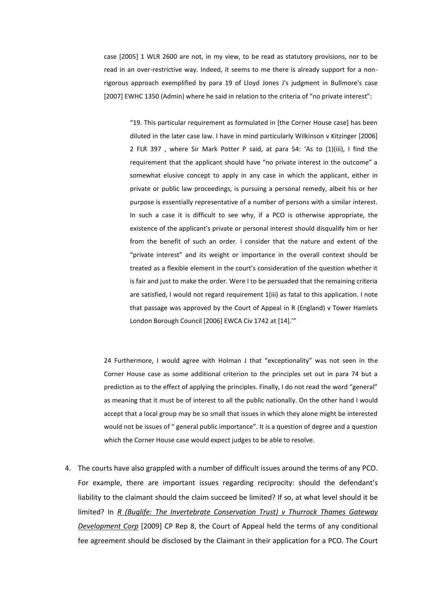case [2005] 1 WLR 2600 are not, in my view, to be read as statutory provisions, nor to be read in an over-restrictive way. Indeed, it seems to me there is already support for a nonrigorous approach exemplified by para 19 of Lloyd Jones J's judgment in Bullmore's case [2007] EWHC 1350 (Admin) where he said in relation to the criteria of "no private interest":

"19. This particular requirement as formulated in [the Corner House case] has been diluted in the later case law. I have in mind particularly Wilkinson v Kitzinger [2006] 2 FLR 397 , where Sir Mark Potter P said, at para 54: 'As to (1)(iii), I find the requirement that the applicant should have "no private interest in the outcome" a somewhat elusive concept to apply in any case in which the applicant, either in private or public law proceedings, is pursuing a personal remedy, albeit his or her purpose is essentially representative of a number of persons with a similar interest. In such a case it is difficult to see why, if a PCO is otherwise appropriate, the existence of the applicant's private or personal interest should disqualify him or her from the benefit of such an order. I consider that the nature and extent of the "private interest" and its weight or importance in the overall context should be treated as a flexible element in the court's consideration of the question whether it is fair and just to make the order. Were I to be persuaded that the remaining criteria are satisfied, I would not regard requirement 1(iii) as fatal to this application. I note that passage was approved by the Court of Appeal in R (England) v Tower Hamlets London Borough Council [2006] EWCA Civ 1742 at [14]."

24 Furthermore, I would agree with Holman J that "exceptionality" was not seen in the Corner House case as some additional criterion to the principles set out in para 74 but a prediction as to the effect of applying the principles. Finally, I do not read the word "general" as meaning that it must be of interest to all the public nationally. On the other hand I would accept that a local group may be so small that issues in which they alone might be interested would not be issues of " general public importance". It is a question of degree and a question which the Corner House case would expect judges to be able to resolve.

4. The courts have also grappled with a number of difficult issues around the terms of any PCO. For example, there are important issues regarding reciprocity: should the defendant's liability to the claimant should the claim succeed be limited? If so, at what level should it be limited? In *R (Buglife: The Invertebrate Conservation Trust) v Thurrock Thames Gateway Development Corp* [2009] CP Rep 8, the Court of Appeal held the terms of any conditional fee agreement should be disclosed by the Claimant in their application for a PCO. The Court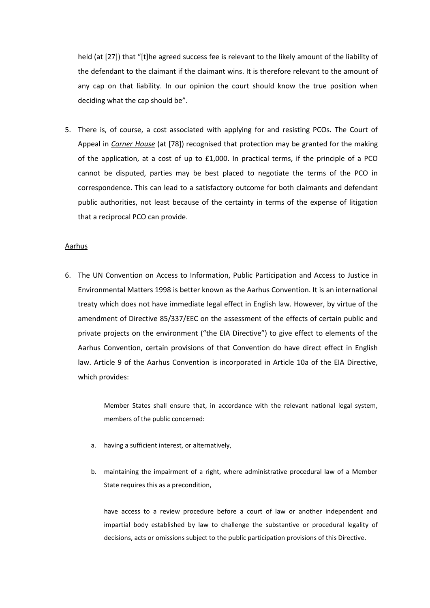held (at [27]) that "[t]he agreed success fee is relevant to the likely amount of the liability of the defendant to the claimant if the claimant wins. It is therefore relevant to the amount of any cap on that liability. In our opinion the court should know the true position when deciding what the cap should be".

5. There is, of course, a cost associated with applying for and resisting PCOs. The Court of Appeal in *Corner House* (at [78]) recognised that protection may be granted for the making of the application, at a cost of up to £1,000. In practical terms, if the principle of a PCO cannot be disputed, parties may be best placed to negotiate the terms of the PCO in correspondence. This can lead to a satisfactory outcome for both claimants and defendant public authorities, not least because of the certainty in terms of the expense of litigation that a reciprocal PCO can provide.

## Aarhus

6. The UN Convention on Access to Information, Public Participation and Access to Justice in Environmental Matters 1998 is better known as the Aarhus Convention. It is an international treaty which does not have immediate legal effect in English law. However, by virtue of the amendment of Directive 85/337/EEC on the assessment of the effects of certain public and private projects on the environment ("the EIA Directive") to give effect to elements of the Aarhus Convention, certain provisions of that Convention do have direct effect in English law. Article 9 of the Aarhus Convention is incorporated in Article 10a of the EIA Directive, which provides:

> Member States shall ensure that, in accordance with the relevant national legal system, members of the public concerned:

- a. having a sufficient interest, or alternatively,
- b. maintaining the impairment of a right, where administrative procedural law of a Member State requires this as a precondition,

have access to a review procedure before a court of law or another independent and impartial body established by law to challenge the substantive or procedural legality of decisions, acts or omissions subject to the public participation provisions of this Directive.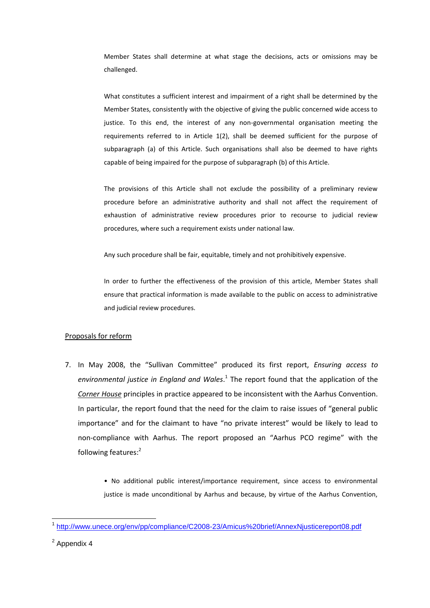Member States shall determine at what stage the decisions, acts or omissions may be challenged.

What constitutes a sufficient interest and impairment of a right shall be determined by the Member States, consistently with the objective of giving the public concerned wide access to justice. To this end, the interest of any non-governmental organisation meeting the requirements referred to in Article 1(2), shall be deemed sufficient for the purpose of subparagraph (a) of this Article. Such organisations shall also be deemed to have rights capable of being impaired for the purpose of subparagraph (b) of this Article.

The provisions of this Article shall not exclude the possibility of a preliminary review procedure before an administrative authority and shall not affect the requirement of exhaustion of administrative review procedures prior to recourse to judicial review procedures, where such a requirement exists under national law.

Any such procedure shall be fair, equitable, timely and not prohibitively expensive.

In order to further the effectiveness of the provision of this article, Member States shall ensure that practical information is made available to the public on access to administrative and judicial review procedures.

# Proposals for reform

7. In May 2008, the "Sullivan Committee" produced its first report, *Ensuring access to*  environmental justice in England and Wales.<sup>1</sup> The report found that the application of the *Corner House* principles in practice appeared to be inconsistent with the Aarhus Convention. In particular, the report found that the need for the claim to raise issues of "general public importance" and for the claimant to have "no private interest" would be likely to lead to non-compliance with Aarhus. The report proposed an "Aarhus PCO regime" with the following features:<sup>2</sup>

> • No additional public interest/importance requirement, since access to environmental justice is made unconditional by Aarhus and because, by virtue of the Aarhus Convention,

 $\overline{a}$ 

<sup>1</sup> <http://www.unece.org/env/pp/compliance/C2008-23/Amicus%20brief/AnnexNjusticereport08.pdf>

<sup>&</sup>lt;sup>2</sup> Appendix 4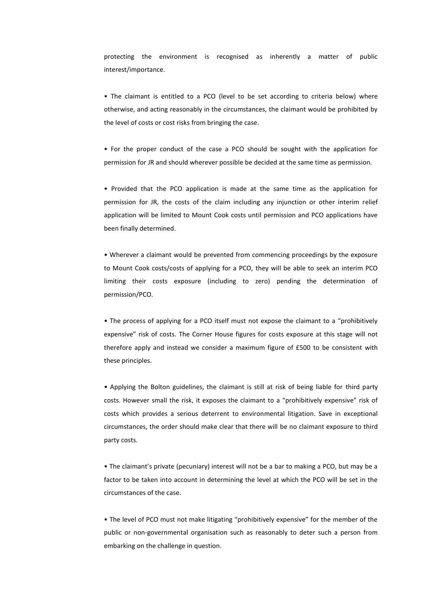protecting the environment is recognised as inherently a matter of public interest/importance.

• The claimant is entitled to a PCO (level to be set according to criteria below) where otherwise, and acting reasonably in the circumstances, the claimant would be prohibited by the level of costs or cost risks from bringing the case.

• For the proper conduct of the case a PCO should be sought with the application for permission for JR and should wherever possible be decided at the same time as permission.

• Provided that the PCO application is made at the same time as the application for permission for JR, the costs of the claim including any injunction or other interim relief application will be limited to Mount Cook costs until permission and PCO applications have been finally determined.

• Wherever a claimant would be prevented from commencing proceedings by the exposure to Mount Cook costs/costs of applying for a PCO, they will be able to seek an interim PCO limiting their costs exposure (including to zero) pending the determination of permission/PCO.

• The process of applying for a PCO itself must not expose the claimant to a "prohibitively expensive" risk of costs. The Corner House figures for costs exposure at this stage will not therefore apply and instead we consider a maximum figure of £500 to be consistent with these principles.

• Applying the Bolton guidelines, the claimant is still at risk of being liable for third party costs. However small the risk, it exposes the claimant to a "prohibitively expensive" risk of costs which provides a serious deterrent to environmental litigation. Save in exceptional circumstances, the order should make clear that there will be no claimant exposure to third party costs.

• The claimant's private (pecuniary) interest will not be a bar to making a PCO, but may be a factor to be taken into account in determining the level at which the PCO will be set in the circumstances of the case.

• The level of PCO must not make litigating "prohibitively expensive" for the member of the public or non-governmental organisation such as reasonably to deter such a person from embarking on the challenge in question.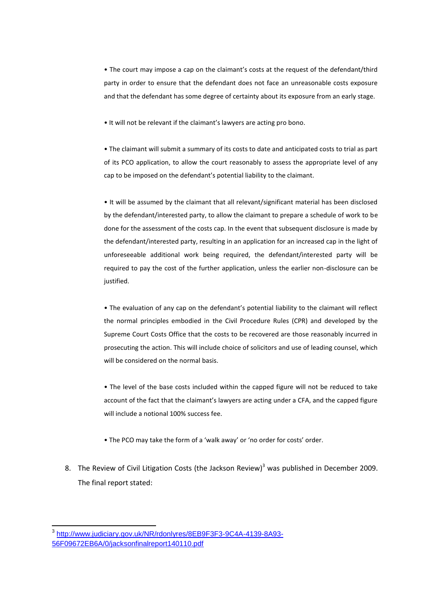• The court may impose a cap on the claimant's costs at the request of the defendant/third party in order to ensure that the defendant does not face an unreasonable costs exposure and that the defendant has some degree of certainty about its exposure from an early stage.

• It will not be relevant if the claimant's lawyers are acting pro bono.

• The claimant will submit a summary of its costs to date and anticipated costs to trial as part of its PCO application, to allow the court reasonably to assess the appropriate level of any cap to be imposed on the defendant's potential liability to the claimant.

• It will be assumed by the claimant that all relevant/significant material has been disclosed by the defendant/interested party, to allow the claimant to prepare a schedule of work to be done for the assessment of the costs cap. In the event that subsequent disclosure is made by the defendant/interested party, resulting in an application for an increased cap in the light of unforeseeable additional work being required, the defendant/interested party will be required to pay the cost of the further application, unless the earlier non-disclosure can be justified.

• The evaluation of any cap on the defendant's potential liability to the claimant will reflect the normal principles embodied in the Civil Procedure Rules (CPR) and developed by the Supreme Court Costs Office that the costs to be recovered are those reasonably incurred in prosecuting the action. This will include choice of solicitors and use of leading counsel, which will be considered on the normal basis.

• The level of the base costs included within the capped figure will not be reduced to take account of the fact that the claimant's lawyers are acting under a CFA, and the capped figure will include a notional 100% success fee.

- The PCO may take the form of a 'walk away' or 'no order for costs' order.
- 8. The Review of Civil Litigation Costs (the Jackson Review)<sup>3</sup> was published in December 2009. The final report stated:

**.** 

<sup>3</sup> [http://www.judiciary.gov.uk/NR/rdonlyres/8EB9F3F3-9C4A-4139-8A93-](http://www.judiciary.gov.uk/NR/rdonlyres/8EB9F3F3-9C4A-4139-8A93-56F09672EB6A/0/jacksonfinalreport140110.pdf) [56F09672EB6A/0/jacksonfinalreport140110.pdf](http://www.judiciary.gov.uk/NR/rdonlyres/8EB9F3F3-9C4A-4139-8A93-56F09672EB6A/0/jacksonfinalreport140110.pdf)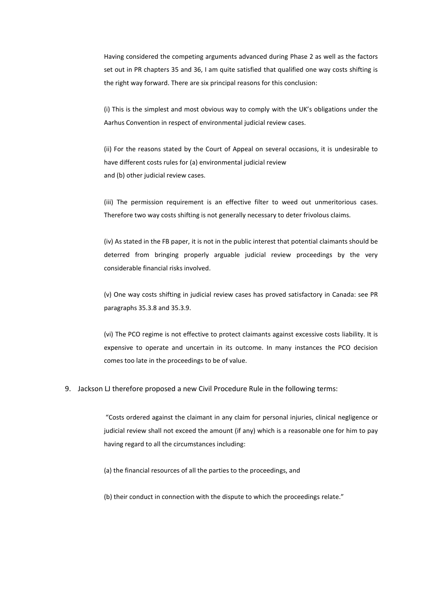Having considered the competing arguments advanced during Phase 2 as well as the factors set out in PR chapters 35 and 36, I am quite satisfied that qualified one way costs shifting is the right way forward. There are six principal reasons for this conclusion:

(i) This is the simplest and most obvious way to comply with the UK's obligations under the Aarhus Convention in respect of environmental judicial review cases.

(ii) For the reasons stated by the Court of Appeal on several occasions, it is undesirable to have different costs rules for (a) environmental judicial review and (b) other judicial review cases.

(iii) The permission requirement is an effective filter to weed out unmeritorious cases. Therefore two way costs shifting is not generally necessary to deter frivolous claims.

(iv) As stated in the FB paper, it is not in the public interest that potential claimants should be deterred from bringing properly arguable judicial review proceedings by the very considerable financial risks involved.

(v) One way costs shifting in judicial review cases has proved satisfactory in Canada: see PR paragraphs 35.3.8 and 35.3.9.

(vi) The PCO regime is not effective to protect claimants against excessive costs liability. It is expensive to operate and uncertain in its outcome. In many instances the PCO decision comes too late in the proceedings to be of value.

9. Jackson LJ therefore proposed a new Civil Procedure Rule in the following terms:

"Costs ordered against the claimant in any claim for personal injuries, clinical negligence or judicial review shall not exceed the amount (if any) which is a reasonable one for him to pay having regard to all the circumstances including:

(a) the financial resources of all the parties to the proceedings, and

(b) their conduct in connection with the dispute to which the proceedings relate."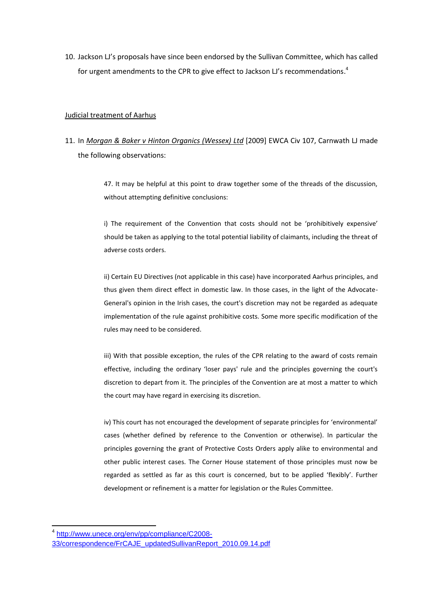10. Jackson LJ's proposals have since been endorsed by the Sullivan Committee, which has called for urgent amendments to the CPR to give effect to Jackson LJ's recommendations.<sup>4</sup>

#### Judicial treatment of Aarhus

# 11. In *Morgan & Baker v Hinton Organics (Wessex) Ltd* [2009] EWCA Civ 107, Carnwath LJ made the following observations:

47. It may be helpful at this point to draw together some of the threads of the discussion, without attempting definitive conclusions:

i) The requirement of the Convention that costs should not be 'prohibitively expensive' should be taken as applying to the total potential liability of claimants, including the threat of adverse costs orders.

ii) Certain EU Directives (not applicable in this case) have incorporated Aarhus principles, and thus given them direct effect in domestic law. In those cases, in the light of the Advocate-General's opinion in the Irish cases, the court's discretion may not be regarded as adequate implementation of the rule against prohibitive costs. Some more specific modification of the rules may need to be considered.

iii) With that possible exception, the rules of the CPR relating to the award of costs remain effective, including the ordinary 'loser pays' rule and the principles governing the court's discretion to depart from it. The principles of the Convention are at most a matter to which the court may have regard in exercising its discretion.

iv) This court has not encouraged the development of separate principles for 'environmental' cases (whether defined by reference to the Convention or otherwise). In particular the principles governing the grant of Protective Costs Orders apply alike to environmental and other public interest cases. The Corner House statement of those principles must now be regarded as settled as far as this court is concerned, but to be applied 'flexibly'. Further development or refinement is a matter for legislation or the Rules Committee.

**.** 

<sup>4</sup> [http://www.unece.org/env/pp/compliance/C2008-](http://www.unece.org/env/pp/compliance/C2008-33/correspondence/FrCAJE_updatedSullivanReport_2010.09.14.pdf) [33/correspondence/FrCAJE\\_updatedSullivanReport\\_2010.09.14.pdf](http://www.unece.org/env/pp/compliance/C2008-33/correspondence/FrCAJE_updatedSullivanReport_2010.09.14.pdf)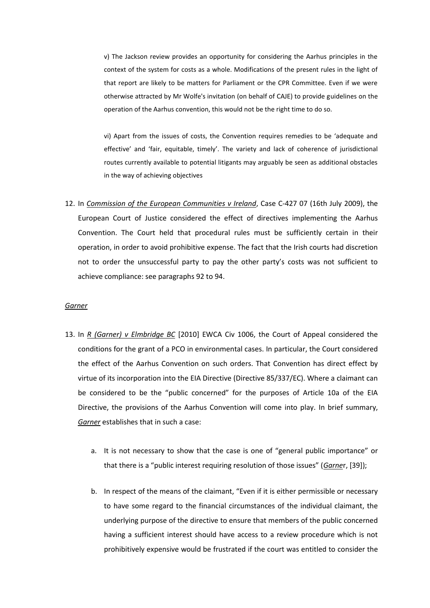v) The Jackson review provides an opportunity for considering the Aarhus principles in the context of the system for costs as a whole. Modifications of the present rules in the light of that report are likely to be matters for Parliament or the CPR Committee. Even if we were otherwise attracted by Mr Wolfe's invitation (on behalf of CAJE) to provide guidelines on the operation of the Aarhus convention, this would not be the right time to do so.

vi) Apart from the issues of costs, the Convention requires remedies to be 'adequate and effective' and 'fair, equitable, timely'. The variety and lack of coherence of jurisdictional routes currently available to potential litigants may arguably be seen as additional obstacles in the way of achieving objectives

12. In *Commission of the European Communities v Ireland*, Case C-427 07 (16th July 2009), the European Court of Justice considered the effect of directives implementing the Aarhus Convention. The Court held that procedural rules must be sufficiently certain in their operation, in order to avoid prohibitive expense. The fact that the Irish courts had discretion not to order the unsuccessful party to pay the other party's costs was not sufficient to achieve compliance: see paragraphs 92 to 94.

#### *Garner*

- 13. In *R (Garner) v Elmbridge BC* [2010] EWCA Civ 1006, the Court of Appeal considered the conditions for the grant of a PCO in environmental cases. In particular, the Court considered the effect of the Aarhus Convention on such orders. That Convention has direct effect by virtue of its incorporation into the EIA Directive (Directive 85/337/EC). Where a claimant can be considered to be the "public concerned" for the purposes of Article 10a of the EIA Directive, the provisions of the Aarhus Convention will come into play. In brief summary, *Garner* establishes that in such a case:
	- a. It is not necessary to show that the case is one of "general public importance" or that there is a "public interest requiring resolution of those issues" (*Garne*r, [39]);
	- b. In respect of the means of the claimant, "Even if it is either permissible or necessary to have some regard to the financial circumstances of the individual claimant, the underlying purpose of the directive to ensure that members of the public concerned having a sufficient interest should have access to a review procedure which is not prohibitively expensive would be frustrated if the court was entitled to consider the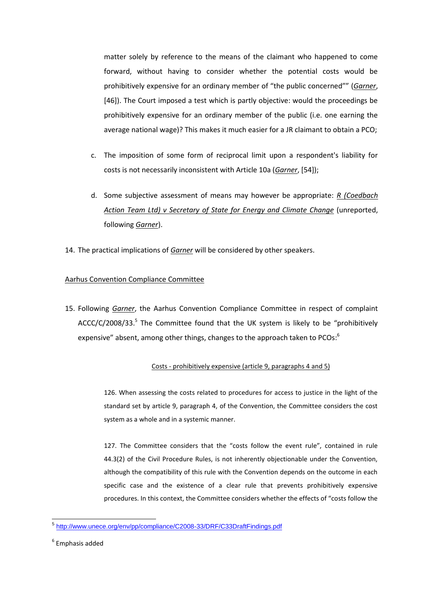matter solely by reference to the means of the claimant who happened to come forward, without having to consider whether the potential costs would be prohibitively expensive for an ordinary member of "the public concerned"" (*Garner*, [46]). The Court imposed a test which is partly objective: would the proceedings be prohibitively expensive for an ordinary member of the public (i.e. one earning the average national wage)? This makes it much easier for a JR claimant to obtain a PCO;

- c. The imposition of some form of reciprocal limit upon a respondent's liability for costs is not necessarily inconsistent with Article 10a (*Garner*, [54]);
- d. Some subjective assessment of means may however be appropriate: *R (Coedbach Action Team Ltd) v Secretary of State for Energy and Climate Change* (unreported, following *Garner*).
- 14. The practical implications of *Garner* will be considered by other speakers.

# Aarhus Convention Compliance Committee

15. Following *Garner*, the Aarhus Convention Compliance Committee in respect of complaint ACCC/C/2008/33.<sup>5</sup> The Committee found that the UK system is likely to be "prohibitively expensive" absent, among other things, changes to the approach taken to PCOs:<sup>6</sup>

# Costs - prohibitively expensive (article 9, paragraphs 4 and 5)

126. When assessing the costs related to procedures for access to justice in the light of the standard set by article 9, paragraph 4, of the Convention, the Committee considers the cost system as a whole and in a systemic manner.

127. The Committee considers that the "costs follow the event rule", contained in rule 44.3(2) of the Civil Procedure Rules, is not inherently objectionable under the Convention, although the compatibility of this rule with the Convention depends on the outcome in each specific case and the existence of a clear rule that prevents prohibitively expensive procedures. In this context, the Committee considers whether the effects of "costs follow the

<sup>–&</sup>lt;br><sup>5</sup> <http://www.unece.org/env/pp/compliance/C2008-33/DRF/C33DraftFindings.pdf>

<sup>&</sup>lt;sup>6</sup> Emphasis added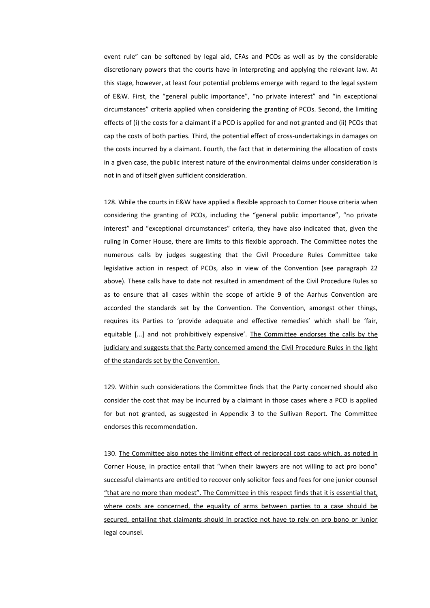event rule" can be softened by legal aid, CFAs and PCOs as well as by the considerable discretionary powers that the courts have in interpreting and applying the relevant law. At this stage, however, at least four potential problems emerge with regard to the legal system of E&W. First, the "general public importance", "no private interest" and "in exceptional circumstances" criteria applied when considering the granting of PCOs. Second, the limiting effects of (i) the costs for a claimant if a PCO is applied for and not granted and (ii) PCOs that cap the costs of both parties. Third, the potential effect of cross-undertakings in damages on the costs incurred by a claimant. Fourth, the fact that in determining the allocation of costs in a given case, the public interest nature of the environmental claims under consideration is not in and of itself given sufficient consideration.

128. While the courts in E&W have applied a flexible approach to Corner House criteria when considering the granting of PCOs, including the "general public importance", "no private interest" and "exceptional circumstances" criteria, they have also indicated that, given the ruling in Corner House, there are limits to this flexible approach. The Committee notes the numerous calls by judges suggesting that the Civil Procedure Rules Committee take legislative action in respect of PCOs, also in view of the Convention (see paragraph 22 above). These calls have to date not resulted in amendment of the Civil Procedure Rules so as to ensure that all cases within the scope of article 9 of the Aarhus Convention are accorded the standards set by the Convention. The Convention, amongst other things, requires its Parties to 'provide adequate and effective remedies' which shall be 'fair, equitable [...] and not prohibitively expensive'. The Committee endorses the calls by the judiciary and suggests that the Party concerned amend the Civil Procedure Rules in the light of the standards set by the Convention.

129. Within such considerations the Committee finds that the Party concerned should also consider the cost that may be incurred by a claimant in those cases where a PCO is applied for but not granted, as suggested in Appendix 3 to the Sullivan Report. The Committee endorses this recommendation.

130. The Committee also notes the limiting effect of reciprocal cost caps which, as noted in Corner House, in practice entail that "when their lawyers are not willing to act pro bono" successful claimants are entitled to recover only solicitor fees and fees for one junior counsel "that are no more than modest". The Committee in this respect finds that it is essential that, where costs are concerned, the equality of arms between parties to a case should be secured, entailing that claimants should in practice not have to rely on pro bono or junior legal counsel.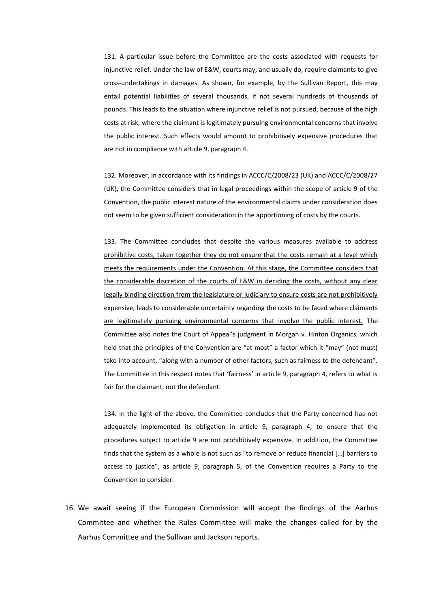131. A particular issue before the Committee are the costs associated with requests for injunctive relief. Under the law of E&W, courts may, and usually do, require claimants to give cross-undertakings in damages. As shown, for example, by the Sullivan Report, this may entail potential liabilities of several thousands, if not several hundreds of thousands of pounds. This leads to the situation where injunctive relief is not pursued, because of the high costs at risk, where the claimant is legitimately pursuing environmental concerns that involve the public interest. Such effects would amount to prohibitively expensive procedures that are not in compliance with article 9, paragraph 4.

132. Moreover, in accordance with its findings in ACCC/C/2008/23 (UK) and ACCC/C/2008/27 (UK), the Committee considers that in legal proceedings within the scope of article 9 of the Convention, the public interest nature of the environmental claims under consideration does not seem to be given sufficient consideration in the apportioning of costs by the courts.

133. The Committee concludes that despite the various measures available to address prohibitive costs, taken together they do not ensure that the costs remain at a level which meets the requirements under the Convention. At this stage, the Committee considers that the considerable discretion of the courts of E&W in deciding the costs, without any clear legally binding direction from the legislature or judiciary to ensure costs are not prohibitively expensive, leads to considerable uncertainty regarding the costs to be faced where claimants are legitimately pursuing environmental concerns that involve the public interest. The Committee also notes the Court of Appeal's judgment in Morgan v. Hinton Organics, which held that the principles of the Convention are "at most" a factor which it "may" (not must) take into account, "along with a number of other factors, such as fairness to the defendant". The Committee in this respect notes that 'fairness' in article 9, paragraph 4, refers to what is fair for the claimant, not the defendant.

134. In the light of the above, the Committee concludes that the Party concerned has not adequately implemented its obligation in article 9, paragraph 4, to ensure that the procedures subject to article 9 are not prohibitively expensive. In addition, the Committee finds that the system as a whole is not such as "to remove or reduce financial  $[...]$  barriers to access to justice", as article 9, paragraph 5, of the Convention requires a Party to the Convention to consider.

16. We await seeing if the European Commission will accept the findings of the Aarhus Committee and whether the Rules Committee will make the changes called for by the Aarhus Committee and the Sullivan and Jackson reports.